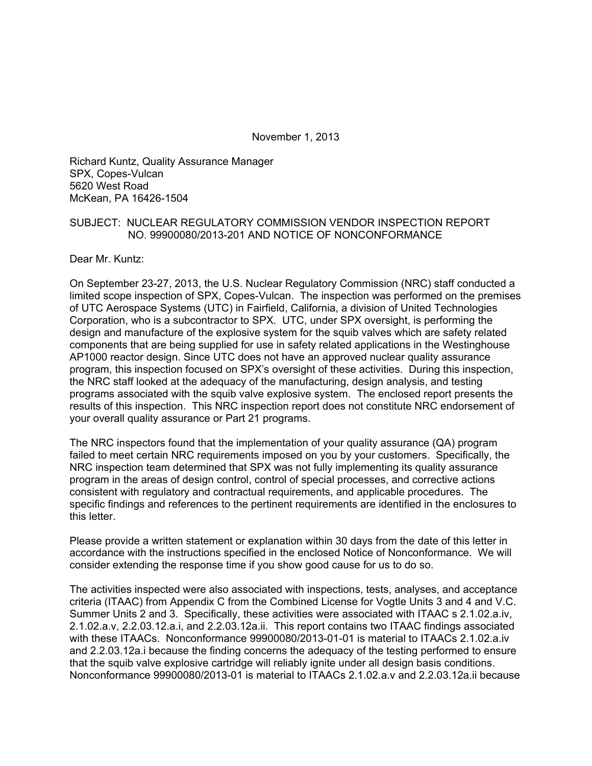November 1, 2013

Richard Kuntz, Quality Assurance Manager SPX, Copes-Vulcan 5620 West Road McKean, PA 16426-1504

#### SUBJECT: NUCLEAR REGULATORY COMMISSION VENDOR INSPECTION REPORT NO. 99900080/2013-201 AND NOTICE OF NONCONFORMANCE

Dear Mr. Kuntz:

On September 23-27, 2013, the U.S. Nuclear Regulatory Commission (NRC) staff conducted a limited scope inspection of SPX, Copes-Vulcan. The inspection was performed on the premises of UTC Aerospace Systems (UTC) in Fairfield, California, a division of United Technologies Corporation, who is a subcontractor to SPX. UTC, under SPX oversight, is performing the design and manufacture of the explosive system for the squib valves which are safety related components that are being supplied for use in safety related applications in the Westinghouse AP1000 reactor design. Since UTC does not have an approved nuclear quality assurance program, this inspection focused on SPX's oversight of these activities. During this inspection, the NRC staff looked at the adequacy of the manufacturing, design analysis, and testing programs associated with the squib valve explosive system. The enclosed report presents the results of this inspection. This NRC inspection report does not constitute NRC endorsement of your overall quality assurance or Part 21 programs.

The NRC inspectors found that the implementation of your quality assurance (QA) program failed to meet certain NRC requirements imposed on you by your customers. Specifically, the NRC inspection team determined that SPX was not fully implementing its quality assurance program in the areas of design control, control of special processes, and corrective actions consistent with regulatory and contractual requirements, and applicable procedures. The specific findings and references to the pertinent requirements are identified in the enclosures to this letter.

Please provide a written statement or explanation within 30 days from the date of this letter in accordance with the instructions specified in the enclosed Notice of Nonconformance. We will consider extending the response time if you show good cause for us to do so.

The activities inspected were also associated with inspections, tests, analyses, and acceptance criteria (ITAAC) from Appendix C from the Combined License for Vogtle Units 3 and 4 and V.C. Summer Units 2 and 3. Specifically, these activities were associated with ITAAC s 2.1.02.a.iv, 2.1.02.a.v, 2.2.03.12.a.i, and 2.2.03.12a.ii. This report contains two ITAAC findings associated with these ITAACs. Nonconformance 99900080/2013-01-01 is material to ITAACs 2.1.02.a.iv and 2.2.03.12a.i because the finding concerns the adequacy of the testing performed to ensure that the squib valve explosive cartridge will reliably ignite under all design basis conditions. Nonconformance 99900080/2013-01 is material to ITAACs 2.1.02.a.v and 2.2.03.12a.ii because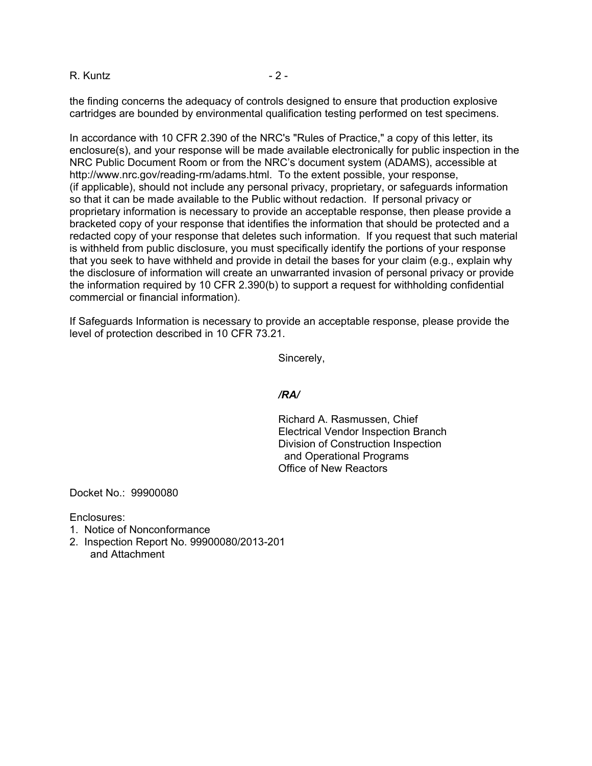R. Kuntz - 2 -

the finding concerns the adequacy of controls designed to ensure that production explosive cartridges are bounded by environmental qualification testing performed on test specimens.

In accordance with 10 CFR 2.390 of the NRC's "Rules of Practice," a copy of this letter, its enclosure(s), and your response will be made available electronically for public inspection in the NRC Public Document Room or from the NRC's document system (ADAMS), accessible at http://www.nrc.gov/reading-rm/adams.html. To the extent possible, your response, (if applicable), should not include any personal privacy, proprietary, or safeguards information so that it can be made available to the Public without redaction. If personal privacy or proprietary information is necessary to provide an acceptable response, then please provide a bracketed copy of your response that identifies the information that should be protected and a redacted copy of your response that deletes such information. If you request that such material is withheld from public disclosure, you must specifically identify the portions of your response that you seek to have withheld and provide in detail the bases for your claim (e.g., explain why the disclosure of information will create an unwarranted invasion of personal privacy or provide the information required by 10 CFR 2.390(b) to support a request for withholding confidential commercial or financial information).

If Safeguards Information is necessary to provide an acceptable response, please provide the level of protection described in 10 CFR 73.21.

Sincerely,

#### */RA/*

Richard A. Rasmussen, Chief Electrical Vendor Inspection Branch Division of Construction Inspection and Operational Programs Office of New Reactors

Docket No.: 99900080

Enclosures:

- 1. Notice of Nonconformance
- 2. Inspection Report No. 99900080/2013-201 and Attachment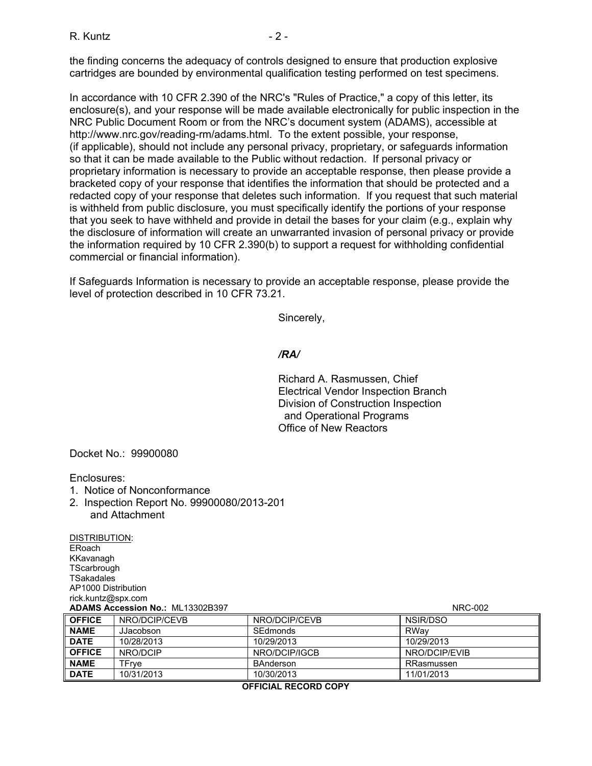the finding concerns the adequacy of controls designed to ensure that production explosive cartridges are bounded by environmental qualification testing performed on test specimens.

In accordance with 10 CFR 2.390 of the NRC's "Rules of Practice," a copy of this letter, its enclosure(s), and your response will be made available electronically for public inspection in the NRC Public Document Room or from the NRC's document system (ADAMS), accessible at http://www.nrc.gov/reading-rm/adams.html. To the extent possible, your response, (if applicable), should not include any personal privacy, proprietary, or safeguards information so that it can be made available to the Public without redaction. If personal privacy or proprietary information is necessary to provide an acceptable response, then please provide a bracketed copy of your response that identifies the information that should be protected and a redacted copy of your response that deletes such information. If you request that such material is withheld from public disclosure, you must specifically identify the portions of your response that you seek to have withheld and provide in detail the bases for your claim (e.g., explain why the disclosure of information will create an unwarranted invasion of personal privacy or provide the information required by 10 CFR 2.390(b) to support a request for withholding confidential commercial or financial information).

If Safeguards Information is necessary to provide an acceptable response, please provide the level of protection described in 10 CFR 73.21.

Sincerely,

#### */RA/*

Richard A. Rasmussen, Chief Electrical Vendor Inspection Branch Division of Construction Inspection and Operational Programs Office of New Reactors

Docket No.: 99900080

Enclosures:

- 1. Notice of Nonconformance
- 2. Inspection Report No. 99900080/2013-201 and Attachment

DISTRIBUTION: ERoach KKavanagh **TScarbrough TSakadales** AP1000 Distribution rick.kuntz@spx.com **ADAMS Accession No.:** ML13302B397 NRC-002

| ADAMS ACCESSION NO ML 1330ZB397 |               |               | <b>INNU-UUZ</b> |
|---------------------------------|---------------|---------------|-----------------|
| <b>OFFICE</b>                   | NRO/DCIP/CEVB | NRO/DCIP/CEVB | NSIR/DSO        |
| <b>NAME</b>                     | JJacobson     | SEdmonds      | RWav            |
| <b>DATE</b>                     | 10/28/2013    | 10/29/2013    | 10/29/2013      |
| <b>OFFICE</b>                   | NRO/DCIP      | NRO/DCIP/IGCB | NRO/DCIP/EVIB   |
| <b>NAME</b>                     | TFrve         | BAnderson     | RRasmussen      |
| <b>DATE</b>                     | 10/31/2013    | 10/30/2013    | 11/01/2013      |

**OFFICIAL RECORD COPY**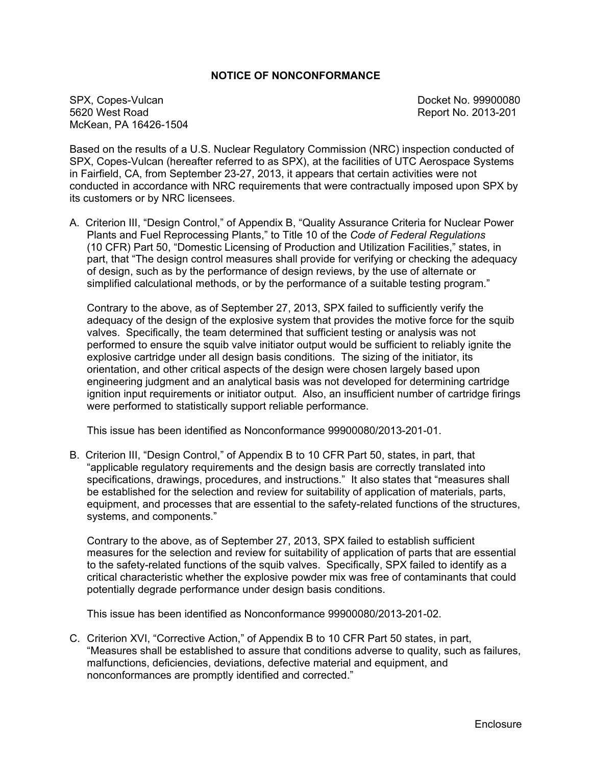#### **NOTICE OF NONCONFORMANCE**

SPX, Copes-Vulcan Docket No. 99900080 McKean, PA 16426-1504

Report No. 2013-201

Based on the results of a U.S. Nuclear Regulatory Commission (NRC) inspection conducted of SPX, Copes-Vulcan (hereafter referred to as SPX), at the facilities of UTC Aerospace Systems in Fairfield, CA, from September 23-27, 2013, it appears that certain activities were not conducted in accordance with NRC requirements that were contractually imposed upon SPX by its customers or by NRC licensees.

A. Criterion III, "Design Control," of Appendix B, "Quality Assurance Criteria for Nuclear Power Plants and Fuel Reprocessing Plants," to Title 10 of the *Code of Federal Regulations* (10 CFR) Part 50, "Domestic Licensing of Production and Utilization Facilities," states, in part, that "The design control measures shall provide for verifying or checking the adequacy of design, such as by the performance of design reviews, by the use of alternate or simplified calculational methods, or by the performance of a suitable testing program."

Contrary to the above, as of September 27, 2013, SPX failed to sufficiently verify the adequacy of the design of the explosive system that provides the motive force for the squib valves. Specifically, the team determined that sufficient testing or analysis was not performed to ensure the squib valve initiator output would be sufficient to reliably ignite the explosive cartridge under all design basis conditions. The sizing of the initiator, its orientation, and other critical aspects of the design were chosen largely based upon engineering judgment and an analytical basis was not developed for determining cartridge ignition input requirements or initiator output. Also, an insufficient number of cartridge firings were performed to statistically support reliable performance.

This issue has been identified as Nonconformance 99900080/2013-201-01.

B. Criterion III, "Design Control," of Appendix B to 10 CFR Part 50, states, in part, that "applicable regulatory requirements and the design basis are correctly translated into specifications, drawings, procedures, and instructions." It also states that "measures shall be established for the selection and review for suitability of application of materials, parts, equipment, and processes that are essential to the safety-related functions of the structures, systems, and components."

Contrary to the above, as of September 27, 2013, SPX failed to establish sufficient measures for the selection and review for suitability of application of parts that are essential to the safety-related functions of the squib valves. Specifically, SPX failed to identify as a critical characteristic whether the explosive powder mix was free of contaminants that could potentially degrade performance under design basis conditions.

This issue has been identified as Nonconformance 99900080/2013-201-02.

C. Criterion XVI, "Corrective Action," of Appendix B to 10 CFR Part 50 states, in part, "Measures shall be established to assure that conditions adverse to quality, such as failures, malfunctions, deficiencies, deviations, defective material and equipment, and nonconformances are promptly identified and corrected."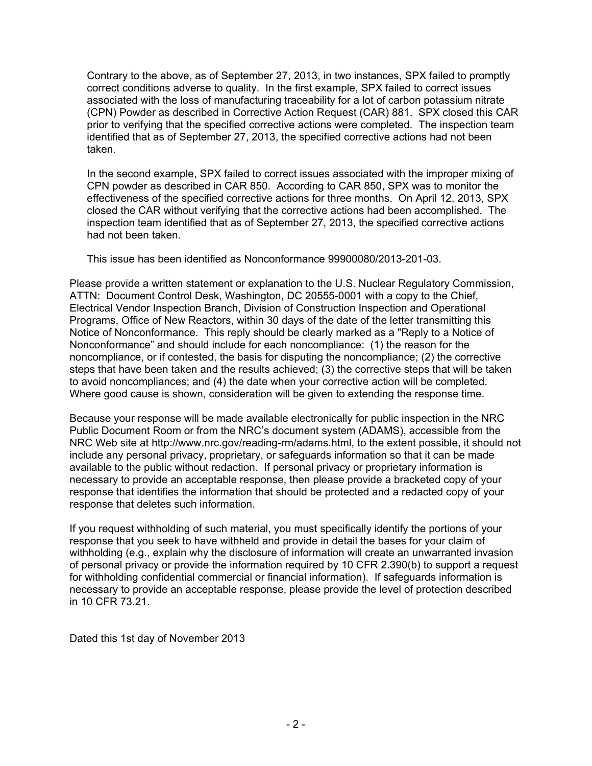Contrary to the above, as of September 27, 2013, in two instances, SPX failed to promptly correct conditions adverse to quality. In the first example, SPX failed to correct issues associated with the loss of manufacturing traceability for a lot of carbon potassium nitrate (CPN) Powder as described in Corrective Action Request (CAR) 881. SPX closed this CAR prior to verifying that the specified corrective actions were completed. The inspection team identified that as of September 27, 2013, the specified corrective actions had not been taken.

In the second example, SPX failed to correct issues associated with the improper mixing of CPN powder as described in CAR 850. According to CAR 850, SPX was to monitor the effectiveness of the specified corrective actions for three months. On April 12, 2013, SPX closed the CAR without verifying that the corrective actions had been accomplished. The inspection team identified that as of September 27, 2013, the specified corrective actions had not been taken.

This issue has been identified as Nonconformance 99900080/2013-201-03.

Please provide a written statement or explanation to the U.S. Nuclear Regulatory Commission, ATTN: Document Control Desk, Washington, DC 20555-0001 with a copy to the Chief, Electrical Vendor Inspection Branch, Division of Construction Inspection and Operational Programs, Office of New Reactors, within 30 days of the date of the letter transmitting this Notice of Nonconformance. This reply should be clearly marked as a "Reply to a Notice of Nonconformance" and should include for each noncompliance: (1) the reason for the noncompliance, or if contested, the basis for disputing the noncompliance; (2) the corrective steps that have been taken and the results achieved; (3) the corrective steps that will be taken to avoid noncompliances; and (4) the date when your corrective action will be completed. Where good cause is shown, consideration will be given to extending the response time.

Because your response will be made available electronically for public inspection in the NRC Public Document Room or from the NRC's document system (ADAMS), accessible from the NRC Web site at http://www.nrc.gov/reading-rm/adams.html, to the extent possible, it should not include any personal privacy, proprietary, or safeguards information so that it can be made available to the public without redaction. If personal privacy or proprietary information is necessary to provide an acceptable response, then please provide a bracketed copy of your response that identifies the information that should be protected and a redacted copy of your response that deletes such information.

If you request withholding of such material, you must specifically identify the portions of your response that you seek to have withheld and provide in detail the bases for your claim of withholding (e.g., explain why the disclosure of information will create an unwarranted invasion of personal privacy or provide the information required by 10 CFR 2.390(b) to support a request for withholding confidential commercial or financial information). If safeguards information is necessary to provide an acceptable response, please provide the level of protection described in 10 CFR 73.21.

Dated this 1st day of November 2013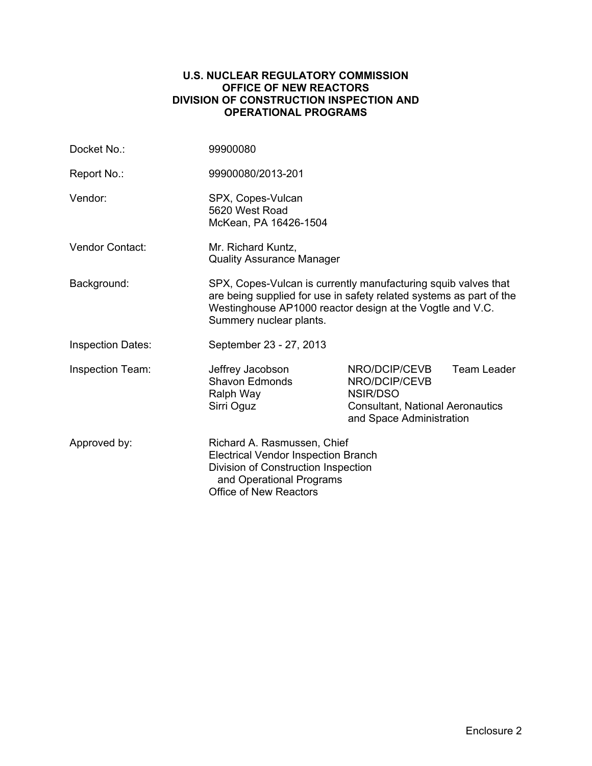#### **U.S. NUCLEAR REGULATORY COMMISSION OFFICE OF NEW REACTORS DIVISION OF CONSTRUCTION INSPECTION AND OPERATIONAL PROGRAMS**

| Docket No.:              | 99900080                                                                                                                                                                                                                      |                                                                                                                   |             |
|--------------------------|-------------------------------------------------------------------------------------------------------------------------------------------------------------------------------------------------------------------------------|-------------------------------------------------------------------------------------------------------------------|-------------|
| Report No.:              | 99900080/2013-201                                                                                                                                                                                                             |                                                                                                                   |             |
| Vendor:                  | SPX, Copes-Vulcan<br>5620 West Road<br>McKean, PA 16426-1504                                                                                                                                                                  |                                                                                                                   |             |
| <b>Vendor Contact:</b>   | Mr. Richard Kuntz,<br><b>Quality Assurance Manager</b>                                                                                                                                                                        |                                                                                                                   |             |
| Background:              | SPX, Copes-Vulcan is currently manufacturing squib valves that<br>are being supplied for use in safety related systems as part of the<br>Westinghouse AP1000 reactor design at the Vogtle and V.C.<br>Summery nuclear plants. |                                                                                                                   |             |
| <b>Inspection Dates:</b> | September 23 - 27, 2013                                                                                                                                                                                                       |                                                                                                                   |             |
| <b>Inspection Team:</b>  | Jeffrey Jacobson<br><b>Shavon Edmonds</b><br>Ralph Way<br>Sirri Oguz                                                                                                                                                          | NRO/DCIP/CEVB<br>NRO/DCIP/CEVB<br>NSIR/DSO<br><b>Consultant, National Aeronautics</b><br>and Space Administration | Team Leader |
| Approved by:             | Richard A. Rasmussen, Chief<br><b>Electrical Vendor Inspection Branch</b><br>Division of Construction Inspection<br>and Operational Programs<br><b>Office of New Reactors</b>                                                 |                                                                                                                   |             |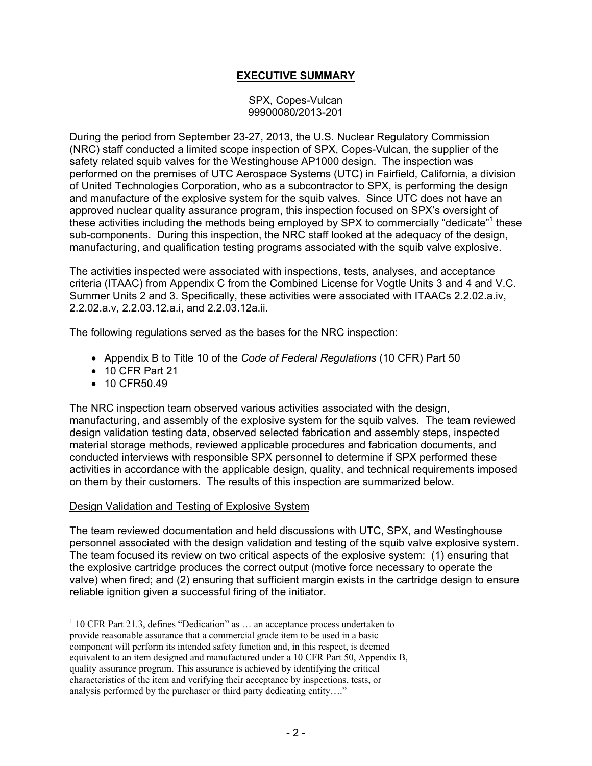# **EXECUTIVE SUMMARY**

SPX, Copes-Vulcan 99900080/2013-201

During the period from September 23-27, 2013, the U.S. Nuclear Regulatory Commission (NRC) staff conducted a limited scope inspection of SPX, Copes-Vulcan, the supplier of the safety related squib valves for the Westinghouse AP1000 design. The inspection was performed on the premises of UTC Aerospace Systems (UTC) in Fairfield, California, a division of United Technologies Corporation, who as a subcontractor to SPX, is performing the design and manufacture of the explosive system for the squib valves. Since UTC does not have an approved nuclear quality assurance program, this inspection focused on SPX's oversight of these activities including the methods being employed by SPX to commercially "dedicate"<sup>1</sup> these sub-components. During this inspection, the NRC staff looked at the adequacy of the design, manufacturing, and qualification testing programs associated with the squib valve explosive.

The activities inspected were associated with inspections, tests, analyses, and acceptance criteria (ITAAC) from Appendix C from the Combined License for Vogtle Units 3 and 4 and V.C. Summer Units 2 and 3. Specifically, these activities were associated with ITAACs 2.2.02.a.iv, 2.2.02.a.v, 2.2.03.12.a.i, and 2.2.03.12a.ii.

The following regulations served as the bases for the NRC inspection:

- Appendix B to Title 10 of the *Code of Federal Regulations* (10 CFR) Part 50
- 10 CFR Part 21
- 10 CFR50.49

 $\overline{a}$ 

The NRC inspection team observed various activities associated with the design, manufacturing, and assembly of the explosive system for the squib valves. The team reviewed design validation testing data, observed selected fabrication and assembly steps, inspected material storage methods, reviewed applicable procedures and fabrication documents, and conducted interviews with responsible SPX personnel to determine if SPX performed these activities in accordance with the applicable design, quality, and technical requirements imposed on them by their customers. The results of this inspection are summarized below.

### Design Validation and Testing of Explosive System

The team reviewed documentation and held discussions with UTC, SPX, and Westinghouse personnel associated with the design validation and testing of the squib valve explosive system. The team focused its review on two critical aspects of the explosive system: (1) ensuring that the explosive cartridge produces the correct output (motive force necessary to operate the valve) when fired; and (2) ensuring that sufficient margin exists in the cartridge design to ensure reliable ignition given a successful firing of the initiator.

 $1$  10 CFR Part 21.3, defines "Dedication" as  $\dots$  an acceptance process undertaken to provide reasonable assurance that a commercial grade item to be used in a basic component will perform its intended safety function and, in this respect, is deemed equivalent to an item designed and manufactured under a 10 CFR Part 50, Appendix B, quality assurance program. This assurance is achieved by identifying the critical characteristics of the item and verifying their acceptance by inspections, tests, or analysis performed by the purchaser or third party dedicating entity…."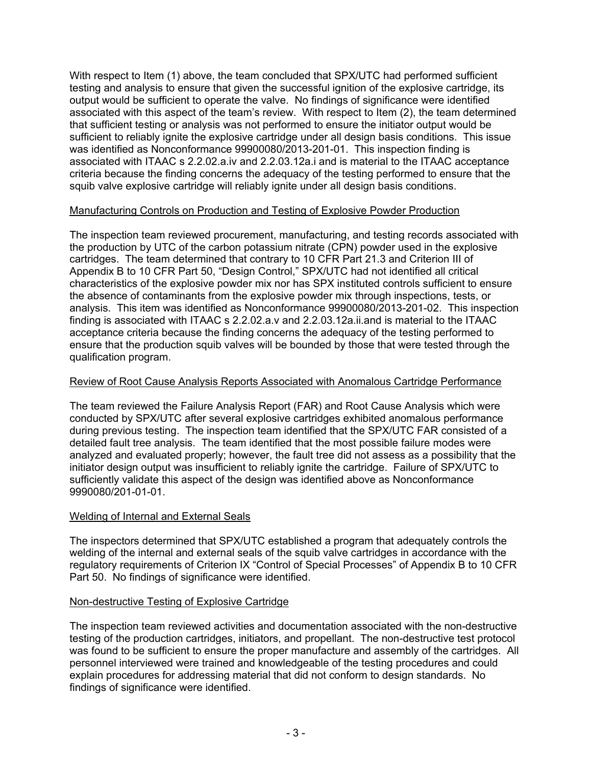With respect to Item (1) above, the team concluded that SPX/UTC had performed sufficient testing and analysis to ensure that given the successful ignition of the explosive cartridge, its output would be sufficient to operate the valve. No findings of significance were identified associated with this aspect of the team's review. With respect to Item (2), the team determined that sufficient testing or analysis was not performed to ensure the initiator output would be sufficient to reliably ignite the explosive cartridge under all design basis conditions. This issue was identified as Nonconformance 99900080/2013-201-01. This inspection finding is associated with ITAAC s 2.2.02.a.iv and 2.2.03.12a.i and is material to the ITAAC acceptance criteria because the finding concerns the adequacy of the testing performed to ensure that the squib valve explosive cartridge will reliably ignite under all design basis conditions.

# Manufacturing Controls on Production and Testing of Explosive Powder Production

The inspection team reviewed procurement, manufacturing, and testing records associated with the production by UTC of the carbon potassium nitrate (CPN) powder used in the explosive cartridges. The team determined that contrary to 10 CFR Part 21.3 and Criterion III of Appendix B to 10 CFR Part 50, "Design Control," SPX/UTC had not identified all critical characteristics of the explosive powder mix nor has SPX instituted controls sufficient to ensure the absence of contaminants from the explosive powder mix through inspections, tests, or analysis. This item was identified as Nonconformance 99900080/2013-201-02. This inspection finding is associated with ITAAC s 2.2.02.a.v and 2.2.03.12a.ii.and is material to the ITAAC acceptance criteria because the finding concerns the adequacy of the testing performed to ensure that the production squib valves will be bounded by those that were tested through the qualification program.

### Review of Root Cause Analysis Reports Associated with Anomalous Cartridge Performance

The team reviewed the Failure Analysis Report (FAR) and Root Cause Analysis which were conducted by SPX/UTC after several explosive cartridges exhibited anomalous performance during previous testing. The inspection team identified that the SPX/UTC FAR consisted of a detailed fault tree analysis. The team identified that the most possible failure modes were analyzed and evaluated properly; however, the fault tree did not assess as a possibility that the initiator design output was insufficient to reliably ignite the cartridge. Failure of SPX/UTC to sufficiently validate this aspect of the design was identified above as Nonconformance 9990080/201-01-01.

### Welding of Internal and External Seals

The inspectors determined that SPX/UTC established a program that adequately controls the welding of the internal and external seals of the squib valve cartridges in accordance with the regulatory requirements of Criterion IX "Control of Special Processes" of Appendix B to 10 CFR Part 50. No findings of significance were identified.

# Non-destructive Testing of Explosive Cartridge

The inspection team reviewed activities and documentation associated with the non-destructive testing of the production cartridges, initiators, and propellant. The non-destructive test protocol was found to be sufficient to ensure the proper manufacture and assembly of the cartridges. All personnel interviewed were trained and knowledgeable of the testing procedures and could explain procedures for addressing material that did not conform to design standards. No findings of significance were identified.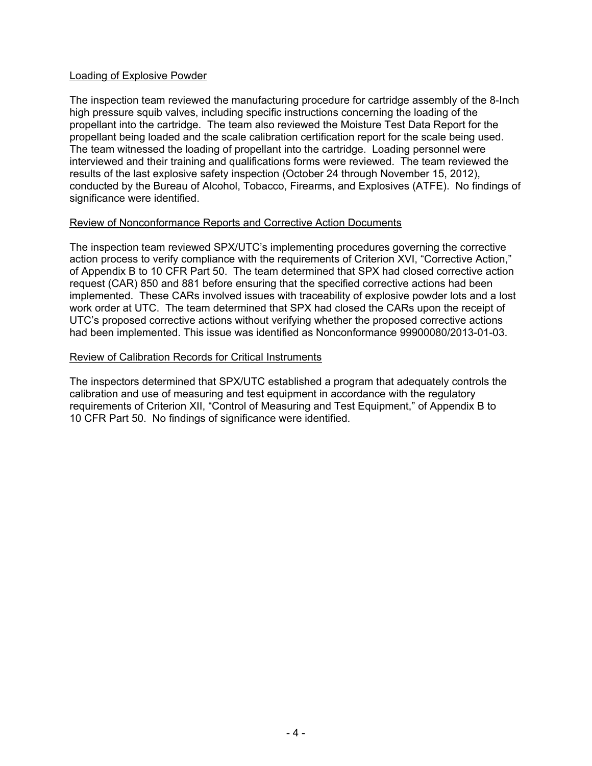### Loading of Explosive Powder

The inspection team reviewed the manufacturing procedure for cartridge assembly of the 8-Inch high pressure squib valves, including specific instructions concerning the loading of the propellant into the cartridge. The team also reviewed the Moisture Test Data Report for the propellant being loaded and the scale calibration certification report for the scale being used. The team witnessed the loading of propellant into the cartridge. Loading personnel were interviewed and their training and qualifications forms were reviewed. The team reviewed the results of the last explosive safety inspection (October 24 through November 15, 2012), conducted by the Bureau of Alcohol, Tobacco, Firearms, and Explosives (ATFE). No findings of significance were identified.

#### Review of Nonconformance Reports and Corrective Action Documents

The inspection team reviewed SPX/UTC's implementing procedures governing the corrective action process to verify compliance with the requirements of Criterion XVI, "Corrective Action," of Appendix B to 10 CFR Part 50. The team determined that SPX had closed corrective action request (CAR) 850 and 881 before ensuring that the specified corrective actions had been implemented. These CARs involved issues with traceability of explosive powder lots and a lost work order at UTC. The team determined that SPX had closed the CARs upon the receipt of UTC's proposed corrective actions without verifying whether the proposed corrective actions had been implemented. This issue was identified as Nonconformance 99900080/2013-01-03.

#### Review of Calibration Records for Critical Instruments

The inspectors determined that SPX/UTC established a program that adequately controls the calibration and use of measuring and test equipment in accordance with the regulatory requirements of Criterion XII, "Control of Measuring and Test Equipment," of Appendix B to 10 CFR Part 50. No findings of significance were identified.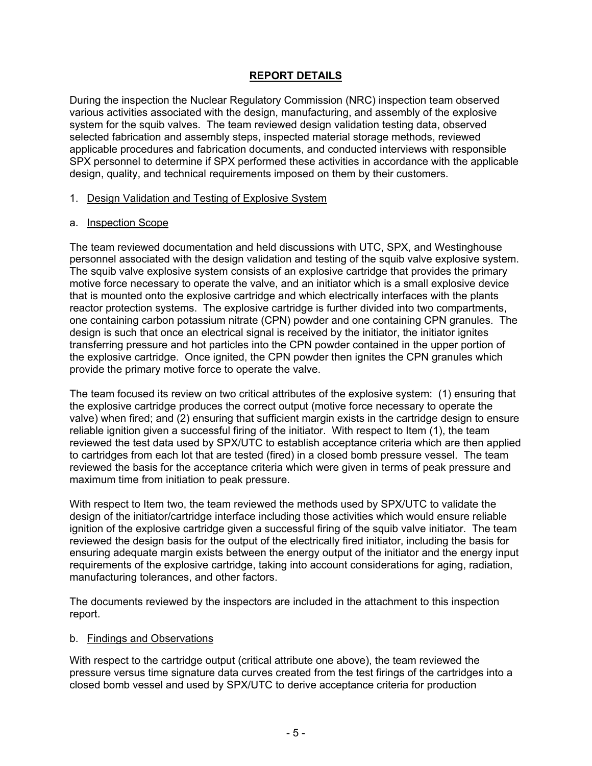# **REPORT DETAILS**

During the inspection the Nuclear Regulatory Commission (NRC) inspection team observed various activities associated with the design, manufacturing, and assembly of the explosive system for the squib valves. The team reviewed design validation testing data, observed selected fabrication and assembly steps, inspected material storage methods, reviewed applicable procedures and fabrication documents, and conducted interviews with responsible SPX personnel to determine if SPX performed these activities in accordance with the applicable design, quality, and technical requirements imposed on them by their customers.

#### 1. Design Validation and Testing of Explosive System

#### a. Inspection Scope

The team reviewed documentation and held discussions with UTC, SPX, and Westinghouse personnel associated with the design validation and testing of the squib valve explosive system. The squib valve explosive system consists of an explosive cartridge that provides the primary motive force necessary to operate the valve, and an initiator which is a small explosive device that is mounted onto the explosive cartridge and which electrically interfaces with the plants reactor protection systems. The explosive cartridge is further divided into two compartments, one containing carbon potassium nitrate (CPN) powder and one containing CPN granules. The design is such that once an electrical signal is received by the initiator, the initiator ignites transferring pressure and hot particles into the CPN powder contained in the upper portion of the explosive cartridge. Once ignited, the CPN powder then ignites the CPN granules which provide the primary motive force to operate the valve.

The team focused its review on two critical attributes of the explosive system: (1) ensuring that the explosive cartridge produces the correct output (motive force necessary to operate the valve) when fired; and (2) ensuring that sufficient margin exists in the cartridge design to ensure reliable ignition given a successful firing of the initiator. With respect to Item (1), the team reviewed the test data used by SPX/UTC to establish acceptance criteria which are then applied to cartridges from each lot that are tested (fired) in a closed bomb pressure vessel. The team reviewed the basis for the acceptance criteria which were given in terms of peak pressure and maximum time from initiation to peak pressure.

With respect to Item two, the team reviewed the methods used by SPX/UTC to validate the design of the initiator/cartridge interface including those activities which would ensure reliable ignition of the explosive cartridge given a successful firing of the squib valve initiator. The team reviewed the design basis for the output of the electrically fired initiator, including the basis for ensuring adequate margin exists between the energy output of the initiator and the energy input requirements of the explosive cartridge, taking into account considerations for aging, radiation, manufacturing tolerances, and other factors.

The documents reviewed by the inspectors are included in the attachment to this inspection report.

### b. Findings and Observations

With respect to the cartridge output (critical attribute one above), the team reviewed the pressure versus time signature data curves created from the test firings of the cartridges into a closed bomb vessel and used by SPX/UTC to derive acceptance criteria for production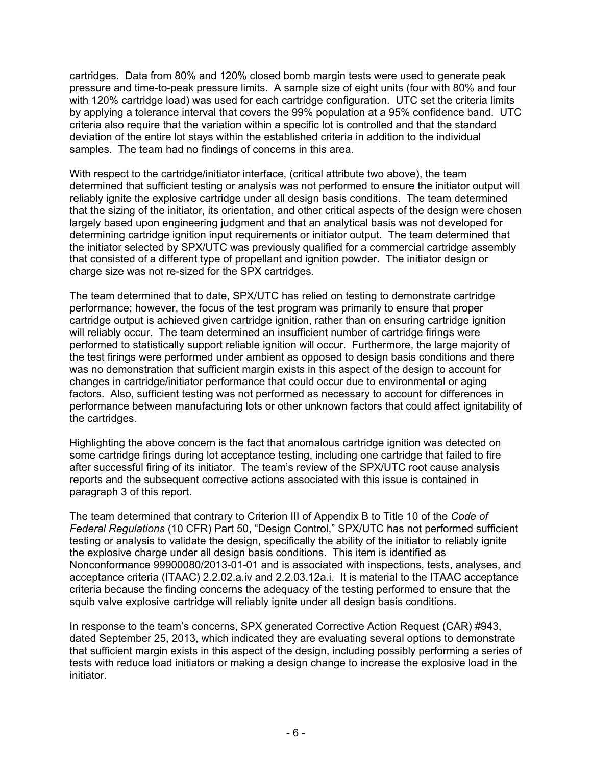cartridges. Data from 80% and 120% closed bomb margin tests were used to generate peak pressure and time-to-peak pressure limits. A sample size of eight units (four with 80% and four with 120% cartridge load) was used for each cartridge configuration. UTC set the criteria limits by applying a tolerance interval that covers the 99% population at a 95% confidence band. UTC criteria also require that the variation within a specific lot is controlled and that the standard deviation of the entire lot stays within the established criteria in addition to the individual samples. The team had no findings of concerns in this area.

With respect to the cartridge/initiator interface, (critical attribute two above), the team determined that sufficient testing or analysis was not performed to ensure the initiator output will reliably ignite the explosive cartridge under all design basis conditions. The team determined that the sizing of the initiator, its orientation, and other critical aspects of the design were chosen largely based upon engineering judgment and that an analytical basis was not developed for determining cartridge ignition input requirements or initiator output. The team determined that the initiator selected by SPX/UTC was previously qualified for a commercial cartridge assembly that consisted of a different type of propellant and ignition powder. The initiator design or charge size was not re-sized for the SPX cartridges.

The team determined that to date, SPX/UTC has relied on testing to demonstrate cartridge performance; however, the focus of the test program was primarily to ensure that proper cartridge output is achieved given cartridge ignition, rather than on ensuring cartridge ignition will reliably occur. The team determined an insufficient number of cartridge firings were performed to statistically support reliable ignition will occur. Furthermore, the large majority of the test firings were performed under ambient as opposed to design basis conditions and there was no demonstration that sufficient margin exists in this aspect of the design to account for changes in cartridge/initiator performance that could occur due to environmental or aging factors. Also, sufficient testing was not performed as necessary to account for differences in performance between manufacturing lots or other unknown factors that could affect ignitability of the cartridges.

Highlighting the above concern is the fact that anomalous cartridge ignition was detected on some cartridge firings during lot acceptance testing, including one cartridge that failed to fire after successful firing of its initiator. The team's review of the SPX/UTC root cause analysis reports and the subsequent corrective actions associated with this issue is contained in paragraph 3 of this report.

The team determined that contrary to Criterion III of Appendix B to Title 10 of the *Code of Federal Regulations* (10 CFR) Part 50, "Design Control," SPX/UTC has not performed sufficient testing or analysis to validate the design, specifically the ability of the initiator to reliably ignite the explosive charge under all design basis conditions. This item is identified as Nonconformance 99900080/2013-01-01 and is associated with inspections, tests, analyses, and acceptance criteria (ITAAC) 2.2.02.a.iv and 2.2.03.12a.i. It is material to the ITAAC acceptance criteria because the finding concerns the adequacy of the testing performed to ensure that the squib valve explosive cartridge will reliably ignite under all design basis conditions.

In response to the team's concerns, SPX generated Corrective Action Request (CAR) #943, dated September 25, 2013, which indicated they are evaluating several options to demonstrate that sufficient margin exists in this aspect of the design, including possibly performing a series of tests with reduce load initiators or making a design change to increase the explosive load in the initiator.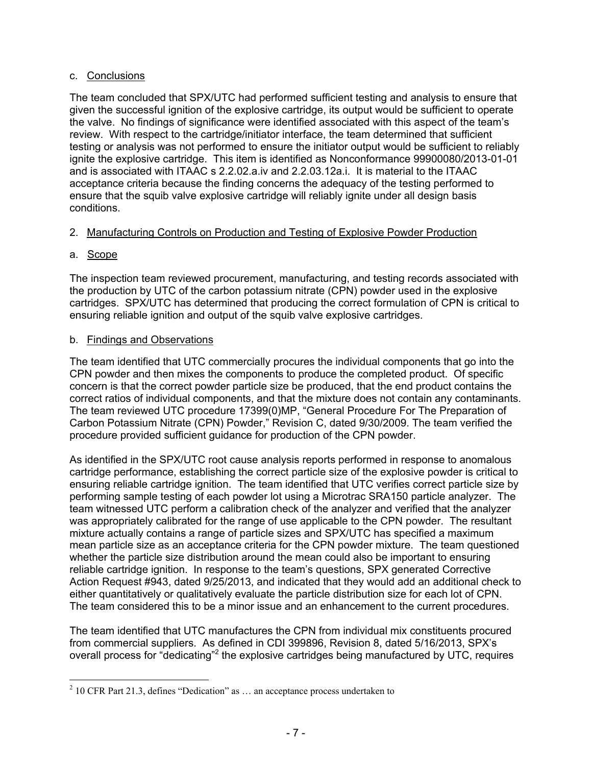# c. Conclusions

The team concluded that SPX/UTC had performed sufficient testing and analysis to ensure that given the successful ignition of the explosive cartridge, its output would be sufficient to operate the valve. No findings of significance were identified associated with this aspect of the team's review. With respect to the cartridge/initiator interface, the team determined that sufficient testing or analysis was not performed to ensure the initiator output would be sufficient to reliably ignite the explosive cartridge. This item is identified as Nonconformance 99900080/2013-01-01 and is associated with ITAAC s 2.2.02.a.iv and 2.2.03.12a.i. It is material to the ITAAC acceptance criteria because the finding concerns the adequacy of the testing performed to ensure that the squib valve explosive cartridge will reliably ignite under all design basis conditions.

# 2. Manufacturing Controls on Production and Testing of Explosive Powder Production

# a. Scope

 $\overline{a}$ 

The inspection team reviewed procurement, manufacturing, and testing records associated with the production by UTC of the carbon potassium nitrate (CPN) powder used in the explosive cartridges. SPX/UTC has determined that producing the correct formulation of CPN is critical to ensuring reliable ignition and output of the squib valve explosive cartridges.

# b. Findings and Observations

The team identified that UTC commercially procures the individual components that go into the CPN powder and then mixes the components to produce the completed product. Of specific concern is that the correct powder particle size be produced, that the end product contains the correct ratios of individual components, and that the mixture does not contain any contaminants. The team reviewed UTC procedure 17399(0)MP, "General Procedure For The Preparation of Carbon Potassium Nitrate (CPN) Powder," Revision C, dated 9/30/2009. The team verified the procedure provided sufficient guidance for production of the CPN powder.

As identified in the SPX/UTC root cause analysis reports performed in response to anomalous cartridge performance, establishing the correct particle size of the explosive powder is critical to ensuring reliable cartridge ignition. The team identified that UTC verifies correct particle size by performing sample testing of each powder lot using a Microtrac SRA150 particle analyzer. The team witnessed UTC perform a calibration check of the analyzer and verified that the analyzer was appropriately calibrated for the range of use applicable to the CPN powder. The resultant mixture actually contains a range of particle sizes and SPX/UTC has specified a maximum mean particle size as an acceptance criteria for the CPN powder mixture. The team questioned whether the particle size distribution around the mean could also be important to ensuring reliable cartridge ignition. In response to the team's questions, SPX generated Corrective Action Request #943, dated 9/25/2013, and indicated that they would add an additional check to either quantitatively or qualitatively evaluate the particle distribution size for each lot of CPN. The team considered this to be a minor issue and an enhancement to the current procedures.

The team identified that UTC manufactures the CPN from individual mix constituents procured from commercial suppliers. As defined in CDI 399896, Revision 8, dated 5/16/2013, SPX's overall process for "dedicating"<sup>2</sup> the explosive cartridges being manufactured by UTC, requires

 $2^{2}$  10 CFR Part 21.3, defines "Dedication" as ... an acceptance process undertaken to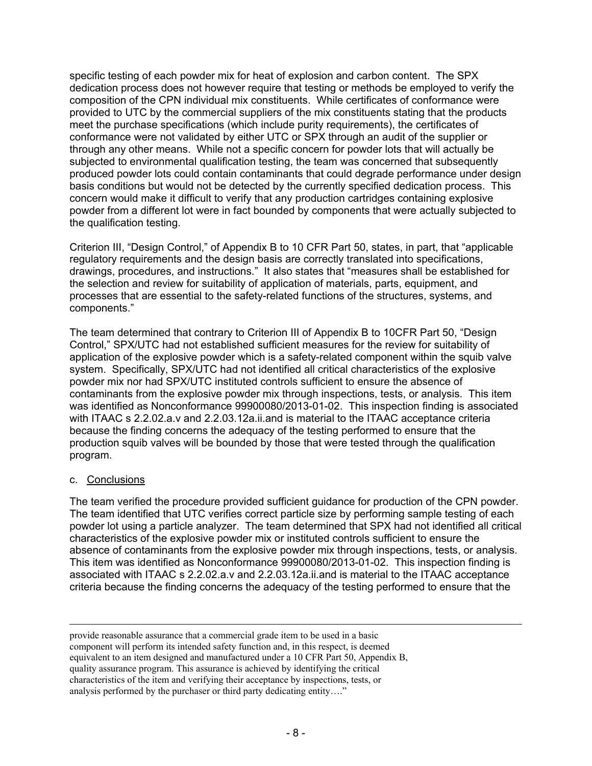specific testing of each powder mix for heat of explosion and carbon content. The SPX dedication process does not however require that testing or methods be employed to verify the composition of the CPN individual mix constituents. While certificates of conformance were provided to UTC by the commercial suppliers of the mix constituents stating that the products meet the purchase specifications (which include purity requirements), the certificates of conformance were not validated by either UTC or SPX through an audit of the supplier or through any other means. While not a specific concern for powder lots that will actually be subjected to environmental qualification testing, the team was concerned that subsequently produced powder lots could contain contaminants that could degrade performance under design basis conditions but would not be detected by the currently specified dedication process. This concern would make it difficult to verify that any production cartridges containing explosive powder from a different lot were in fact bounded by components that were actually subjected to the qualification testing.

Criterion III, "Design Control," of Appendix B to 10 CFR Part 50, states, in part, that "applicable regulatory requirements and the design basis are correctly translated into specifications, drawings, procedures, and instructions." It also states that "measures shall be established for the selection and review for suitability of application of materials, parts, equipment, and processes that are essential to the safety-related functions of the structures, systems, and components."

The team determined that contrary to Criterion III of Appendix B to 10CFR Part 50, "Design Control," SPX/UTC had not established sufficient measures for the review for suitability of application of the explosive powder which is a safety-related component within the squib valve system. Specifically, SPX/UTC had not identified all critical characteristics of the explosive powder mix nor had SPX/UTC instituted controls sufficient to ensure the absence of contaminants from the explosive powder mix through inspections, tests, or analysis. This item was identified as Nonconformance 99900080/2013-01-02. This inspection finding is associated with ITAAC s 2.2.02.a.v and 2.2.03.12a.ii.and is material to the ITAAC acceptance criteria because the finding concerns the adequacy of the testing performed to ensure that the production squib valves will be bounded by those that were tested through the qualification program.

### c. Conclusions

The team verified the procedure provided sufficient guidance for production of the CPN powder. The team identified that UTC verifies correct particle size by performing sample testing of each powder lot using a particle analyzer. The team determined that SPX had not identified all critical characteristics of the explosive powder mix or instituted controls sufficient to ensure the absence of contaminants from the explosive powder mix through inspections, tests, or analysis. This item was identified as Nonconformance 99900080/2013-01-02. This inspection finding is associated with ITAAC s 2.2.02.a.v and 2.2.03.12a.ii.and is material to the ITAAC acceptance criteria because the finding concerns the adequacy of the testing performed to ensure that the

 provide reasonable assurance that a commercial grade item to be used in a basic component will perform its intended safety function and, in this respect, is deemed equivalent to an item designed and manufactured under a 10 CFR Part 50, Appendix B, quality assurance program. This assurance is achieved by identifying the critical characteristics of the item and verifying their acceptance by inspections, tests, or analysis performed by the purchaser or third party dedicating entity…."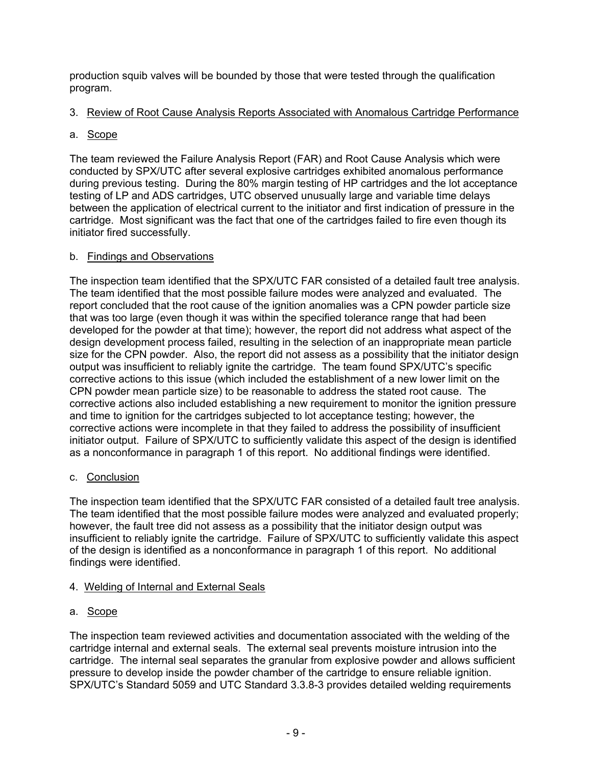production squib valves will be bounded by those that were tested through the qualification program.

# 3. Review of Root Cause Analysis Reports Associated with Anomalous Cartridge Performance

# a. Scope

The team reviewed the Failure Analysis Report (FAR) and Root Cause Analysis which were conducted by SPX/UTC after several explosive cartridges exhibited anomalous performance during previous testing. During the 80% margin testing of HP cartridges and the lot acceptance testing of LP and ADS cartridges, UTC observed unusually large and variable time delays between the application of electrical current to the initiator and first indication of pressure in the cartridge. Most significant was the fact that one of the cartridges failed to fire even though its initiator fired successfully.

# b. Findings and Observations

The inspection team identified that the SPX/UTC FAR consisted of a detailed fault tree analysis. The team identified that the most possible failure modes were analyzed and evaluated. The report concluded that the root cause of the ignition anomalies was a CPN powder particle size that was too large (even though it was within the specified tolerance range that had been developed for the powder at that time); however, the report did not address what aspect of the design development process failed, resulting in the selection of an inappropriate mean particle size for the CPN powder. Also, the report did not assess as a possibility that the initiator design output was insufficient to reliably ignite the cartridge. The team found SPX/UTC's specific corrective actions to this issue (which included the establishment of a new lower limit on the CPN powder mean particle size) to be reasonable to address the stated root cause. The corrective actions also included establishing a new requirement to monitor the ignition pressure and time to ignition for the cartridges subjected to lot acceptance testing; however, the corrective actions were incomplete in that they failed to address the possibility of insufficient initiator output. Failure of SPX/UTC to sufficiently validate this aspect of the design is identified as a nonconformance in paragraph 1 of this report. No additional findings were identified.

# c. Conclusion

The inspection team identified that the SPX/UTC FAR consisted of a detailed fault tree analysis. The team identified that the most possible failure modes were analyzed and evaluated properly; however, the fault tree did not assess as a possibility that the initiator design output was insufficient to reliably ignite the cartridge. Failure of SPX/UTC to sufficiently validate this aspect of the design is identified as a nonconformance in paragraph 1 of this report. No additional findings were identified.

# 4. Welding of Internal and External Seals

# a. Scope

The inspection team reviewed activities and documentation associated with the welding of the cartridge internal and external seals. The external seal prevents moisture intrusion into the cartridge. The internal seal separates the granular from explosive powder and allows sufficient pressure to develop inside the powder chamber of the cartridge to ensure reliable ignition. SPX/UTC's Standard 5059 and UTC Standard 3.3.8-3 provides detailed welding requirements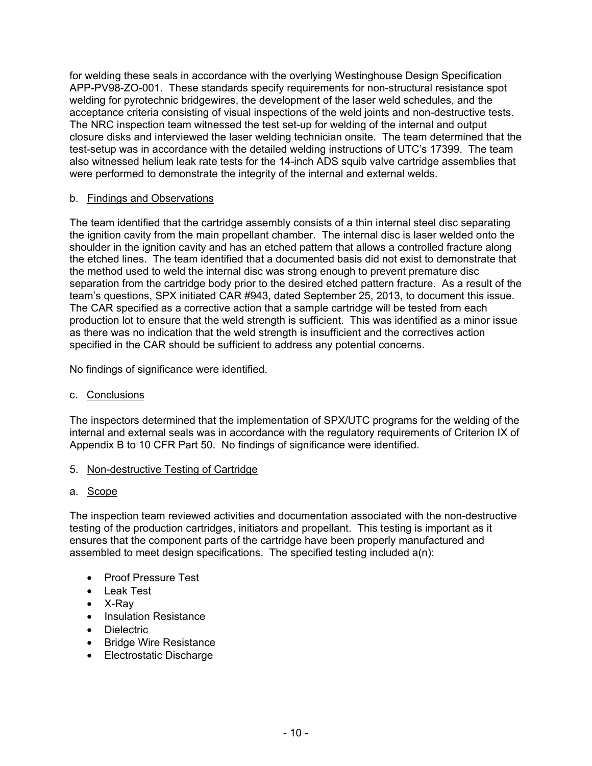for welding these seals in accordance with the overlying Westinghouse Design Specification APP-PV98-ZO-001. These standards specify requirements for non-structural resistance spot welding for pyrotechnic bridgewires, the development of the laser weld schedules, and the acceptance criteria consisting of visual inspections of the weld joints and non-destructive tests. The NRC inspection team witnessed the test set-up for welding of the internal and output closure disks and interviewed the laser welding technician onsite. The team determined that the test-setup was in accordance with the detailed welding instructions of UTC's 17399. The team also witnessed helium leak rate tests for the 14-inch ADS squib valve cartridge assemblies that were performed to demonstrate the integrity of the internal and external welds.

# b. Findings and Observations

The team identified that the cartridge assembly consists of a thin internal steel disc separating the ignition cavity from the main propellant chamber. The internal disc is laser welded onto the shoulder in the ignition cavity and has an etched pattern that allows a controlled fracture along the etched lines. The team identified that a documented basis did not exist to demonstrate that the method used to weld the internal disc was strong enough to prevent premature disc separation from the cartridge body prior to the desired etched pattern fracture. As a result of the team's questions, SPX initiated CAR #943, dated September 25, 2013, to document this issue. The CAR specified as a corrective action that a sample cartridge will be tested from each production lot to ensure that the weld strength is sufficient. This was identified as a minor issue as there was no indication that the weld strength is insufficient and the correctives action specified in the CAR should be sufficient to address any potential concerns.

No findings of significance were identified.

### c. Conclusions

The inspectors determined that the implementation of SPX/UTC programs for the welding of the internal and external seals was in accordance with the regulatory requirements of Criterion IX of Appendix B to 10 CFR Part 50. No findings of significance were identified.

### 5. Non-destructive Testing of Cartridge

### a. Scope

The inspection team reviewed activities and documentation associated with the non-destructive testing of the production cartridges, initiators and propellant. This testing is important as it ensures that the component parts of the cartridge have been properly manufactured and assembled to meet design specifications. The specified testing included a(n):

- Proof Pressure Test
- Leak Test
- X-Ray
- Insulation Resistance
- Dielectric
- Bridge Wire Resistance
- Electrostatic Discharge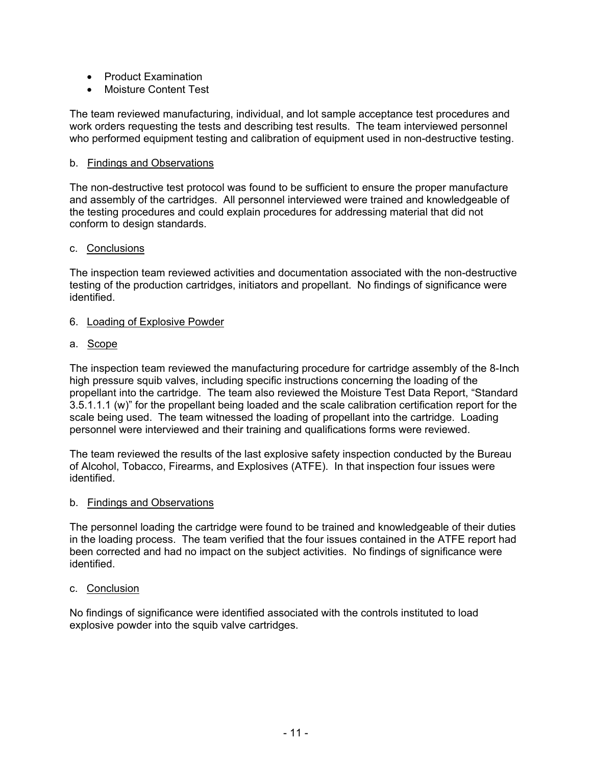- Product Examination
- Moisture Content Test

The team reviewed manufacturing, individual, and lot sample acceptance test procedures and work orders requesting the tests and describing test results. The team interviewed personnel who performed equipment testing and calibration of equipment used in non-destructive testing.

#### b. Findings and Observations

The non-destructive test protocol was found to be sufficient to ensure the proper manufacture and assembly of the cartridges. All personnel interviewed were trained and knowledgeable of the testing procedures and could explain procedures for addressing material that did not conform to design standards.

#### c. Conclusions

The inspection team reviewed activities and documentation associated with the non-destructive testing of the production cartridges, initiators and propellant. No findings of significance were identified.

#### 6. Loading of Explosive Powder

a. Scope

The inspection team reviewed the manufacturing procedure for cartridge assembly of the 8-Inch high pressure squib valves, including specific instructions concerning the loading of the propellant into the cartridge. The team also reviewed the Moisture Test Data Report, "Standard 3.5.1.1.1 (w)" for the propellant being loaded and the scale calibration certification report for the scale being used. The team witnessed the loading of propellant into the cartridge. Loading personnel were interviewed and their training and qualifications forms were reviewed.

The team reviewed the results of the last explosive safety inspection conducted by the Bureau of Alcohol, Tobacco, Firearms, and Explosives (ATFE). In that inspection four issues were identified.

#### b. Findings and Observations

The personnel loading the cartridge were found to be trained and knowledgeable of their duties in the loading process. The team verified that the four issues contained in the ATFE report had been corrected and had no impact on the subject activities. No findings of significance were identified.

#### c. Conclusion

No findings of significance were identified associated with the controls instituted to load explosive powder into the squib valve cartridges.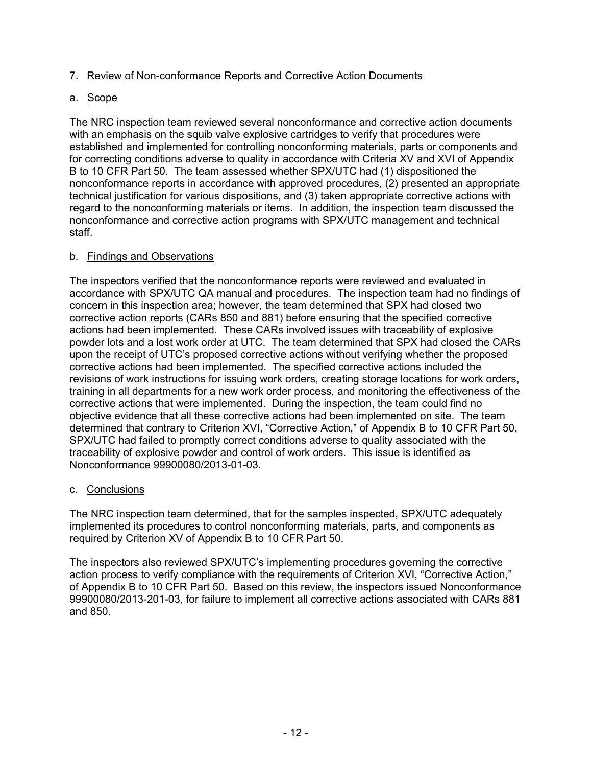# 7. Review of Non-conformance Reports and Corrective Action Documents

## a. Scope

The NRC inspection team reviewed several nonconformance and corrective action documents with an emphasis on the squib valve explosive cartridges to verify that procedures were established and implemented for controlling nonconforming materials, parts or components and for correcting conditions adverse to quality in accordance with Criteria XV and XVI of Appendix B to 10 CFR Part 50. The team assessed whether SPX/UTC had (1) dispositioned the nonconformance reports in accordance with approved procedures, (2) presented an appropriate technical justification for various dispositions, and (3) taken appropriate corrective actions with regard to the nonconforming materials or items. In addition, the inspection team discussed the nonconformance and corrective action programs with SPX/UTC management and technical staff.

### b. Findings and Observations

The inspectors verified that the nonconformance reports were reviewed and evaluated in accordance with SPX/UTC QA manual and procedures. The inspection team had no findings of concern in this inspection area; however, the team determined that SPX had closed two corrective action reports (CARs 850 and 881) before ensuring that the specified corrective actions had been implemented. These CARs involved issues with traceability of explosive powder lots and a lost work order at UTC. The team determined that SPX had closed the CARs upon the receipt of UTC's proposed corrective actions without verifying whether the proposed corrective actions had been implemented. The specified corrective actions included the revisions of work instructions for issuing work orders, creating storage locations for work orders, training in all departments for a new work order process, and monitoring the effectiveness of the corrective actions that were implemented. During the inspection, the team could find no objective evidence that all these corrective actions had been implemented on site. The team determined that contrary to Criterion XVI, "Corrective Action," of Appendix B to 10 CFR Part 50, SPX/UTC had failed to promptly correct conditions adverse to quality associated with the traceability of explosive powder and control of work orders. This issue is identified as Nonconformance 99900080/2013-01-03.

### c. Conclusions

The NRC inspection team determined, that for the samples inspected, SPX/UTC adequately implemented its procedures to control nonconforming materials, parts, and components as required by Criterion XV of Appendix B to 10 CFR Part 50.

The inspectors also reviewed SPX/UTC's implementing procedures governing the corrective action process to verify compliance with the requirements of Criterion XVI, "Corrective Action," of Appendix B to 10 CFR Part 50. Based on this review, the inspectors issued Nonconformance 99900080/2013-201-03, for failure to implement all corrective actions associated with CARs 881 and 850.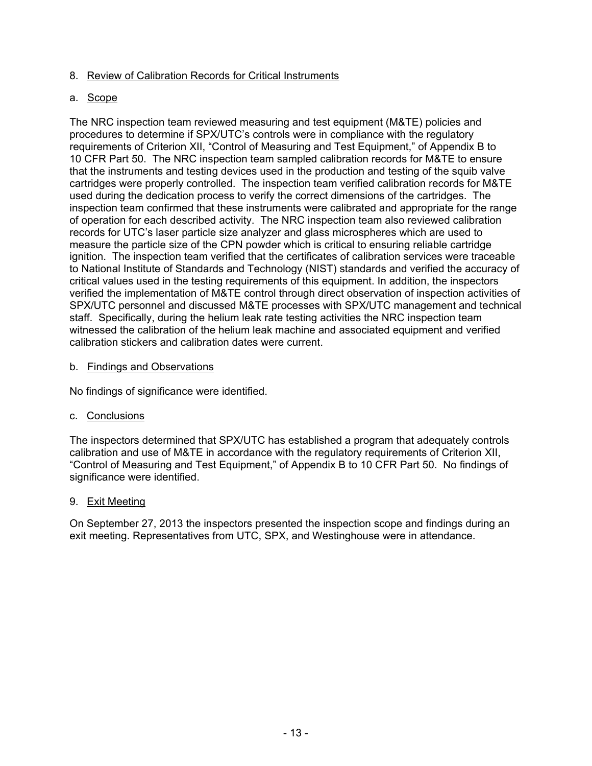# 8. Review of Calibration Records for Critical Instruments

# a. Scope

The NRC inspection team reviewed measuring and test equipment (M&TE) policies and procedures to determine if SPX/UTC's controls were in compliance with the regulatory requirements of Criterion XII, "Control of Measuring and Test Equipment," of Appendix B to 10 CFR Part 50. The NRC inspection team sampled calibration records for M&TE to ensure that the instruments and testing devices used in the production and testing of the squib valve cartridges were properly controlled. The inspection team verified calibration records for M&TE used during the dedication process to verify the correct dimensions of the cartridges. The inspection team confirmed that these instruments were calibrated and appropriate for the range of operation for each described activity. The NRC inspection team also reviewed calibration records for UTC's laser particle size analyzer and glass microspheres which are used to measure the particle size of the CPN powder which is critical to ensuring reliable cartridge ignition. The inspection team verified that the certificates of calibration services were traceable to National Institute of Standards and Technology (NIST) standards and verified the accuracy of critical values used in the testing requirements of this equipment. In addition, the inspectors verified the implementation of M&TE control through direct observation of inspection activities of SPX/UTC personnel and discussed M&TE processes with SPX/UTC management and technical staff. Specifically, during the helium leak rate testing activities the NRC inspection team witnessed the calibration of the helium leak machine and associated equipment and verified calibration stickers and calibration dates were current.

### b. Findings and Observations

No findings of significance were identified.

### c. Conclusions

The inspectors determined that SPX/UTC has established a program that adequately controls calibration and use of M&TE in accordance with the regulatory requirements of Criterion XII, "Control of Measuring and Test Equipment," of Appendix B to 10 CFR Part 50. No findings of significance were identified.

### 9. Exit Meeting

On September 27, 2013 the inspectors presented the inspection scope and findings during an exit meeting. Representatives from UTC, SPX, and Westinghouse were in attendance.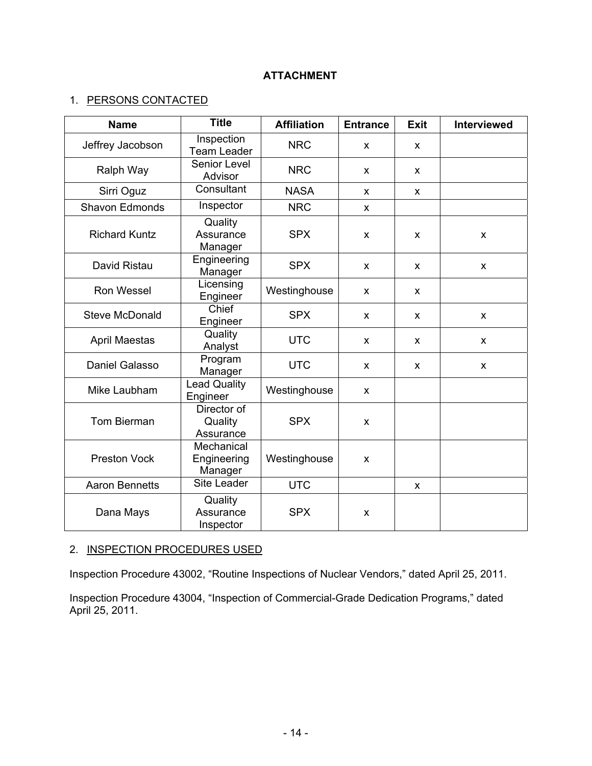# **ATTACHMENT**

# 1. PERSONS CONTACTED

| <b>Name</b>           | <b>Title</b>                         | <b>Affiliation</b> | <b>Entrance</b> | <b>Exit</b>  | <b>Interviewed</b> |
|-----------------------|--------------------------------------|--------------------|-----------------|--------------|--------------------|
| Jeffrey Jacobson      | Inspection<br><b>Team Leader</b>     | <b>NRC</b>         | X               | $\mathsf{x}$ |                    |
| Ralph Way             | Senior Level<br>Advisor              | <b>NRC</b>         | X               | X            |                    |
| Sirri Oguz            | Consultant                           | <b>NASA</b>        | X               | X            |                    |
| <b>Shavon Edmonds</b> | Inspector                            | <b>NRC</b>         | X               |              |                    |
| <b>Richard Kuntz</b>  | Quality<br>Assurance<br>Manager      | <b>SPX</b>         | X               | X            | X                  |
| David Ristau          | Engineering<br>Manager               | <b>SPX</b>         | X               | X            | X                  |
| <b>Ron Wessel</b>     | Licensing<br>Engineer                | Westinghouse       | X               | $\mathsf{x}$ |                    |
| <b>Steve McDonald</b> | Chief<br>Engineer                    | <b>SPX</b>         | X               | X            | X                  |
| <b>April Maestas</b>  | Quality<br>Analyst                   | <b>UTC</b>         | X               | $\mathsf{x}$ | X                  |
| <b>Daniel Galasso</b> | Program<br>Manager                   | <b>UTC</b>         | X               | X            | $\pmb{\times}$     |
| Mike Laubham          | <b>Lead Quality</b><br>Engineer      | Westinghouse       | X               |              |                    |
| Tom Bierman           | Director of<br>Quality<br>Assurance  | <b>SPX</b>         | X               |              |                    |
| <b>Preston Vock</b>   | Mechanical<br>Engineering<br>Manager | Westinghouse       | X               |              |                    |
| <b>Aaron Bennetts</b> | Site Leader                          | <b>UTC</b>         |                 | X            |                    |
| Dana Mays             | Quality<br>Assurance<br>Inspector    | <b>SPX</b>         | X               |              |                    |

# 2. INSPECTION PROCEDURES USED

Inspection Procedure 43002, "Routine Inspections of Nuclear Vendors," dated April 25, 2011.

Inspection Procedure 43004, "Inspection of Commercial-Grade Dedication Programs," dated April 25, 2011.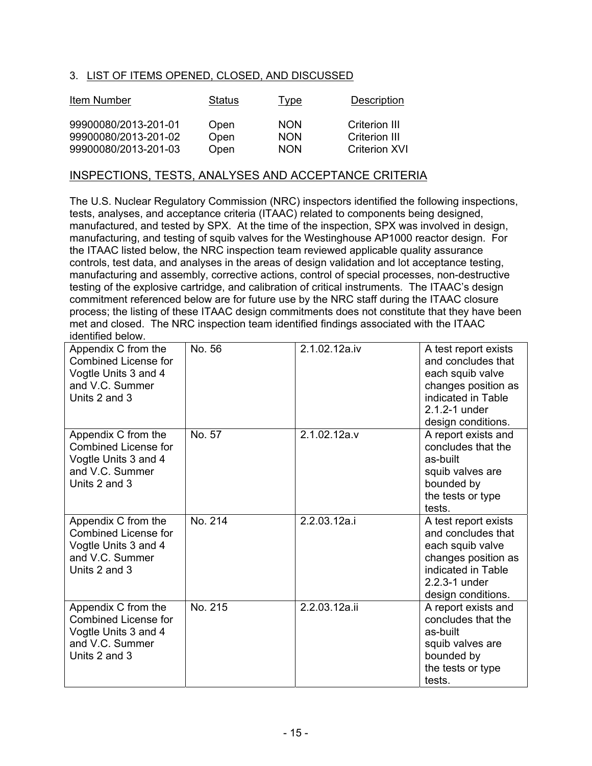# 3. LIST OF ITEMS OPENED, CLOSED, AND DISCUSSED

| Item Number                                  | Status       | <u>Type</u>              | Description                    |
|----------------------------------------------|--------------|--------------------------|--------------------------------|
| 99900080/2013-201-01<br>99900080/2013-201-02 | Open<br>Open | <b>NON</b><br><b>NON</b> | Criterion III<br>Criterion III |
| 99900080/2013-201-03                         | Open         | <b>NON</b>               | <b>Criterion XVI</b>           |

## INSPECTIONS, TESTS, ANALYSES AND ACCEPTANCE CRITERIA

The U.S. Nuclear Regulatory Commission (NRC) inspectors identified the following inspections, tests, analyses, and acceptance criteria (ITAAC) related to components being designed, manufactured, and tested by SPX. At the time of the inspection, SPX was involved in design, manufacturing, and testing of squib valves for the Westinghouse AP1000 reactor design. For the ITAAC listed below, the NRC inspection team reviewed applicable quality assurance controls, test data, and analyses in the areas of design validation and lot acceptance testing, manufacturing and assembly, corrective actions, control of special processes, non-destructive testing of the explosive cartridge, and calibration of critical instruments. The ITAAC's design commitment referenced below are for future use by the NRC staff during the ITAAC closure process; the listing of these ITAAC design commitments does not constitute that they have been met and closed. The NRC inspection team identified findings associated with the ITAAC identified below.

| Appendix C from the<br><b>Combined License for</b><br>Vogtle Units 3 and 4<br>and V.C. Summer<br>Units 2 and 3 | No. 56  | 2.1.02.12a.iv | A test report exists<br>and concludes that<br>each squib valve<br>changes position as<br>indicated in Table<br>2.1.2-1 under<br>design conditions. |
|----------------------------------------------------------------------------------------------------------------|---------|---------------|----------------------------------------------------------------------------------------------------------------------------------------------------|
| Appendix C from the<br><b>Combined License for</b><br>Vogtle Units 3 and 4<br>and V.C. Summer<br>Units 2 and 3 | No. 57  | 2.1.02.12a.v  | A report exists and<br>concludes that the<br>as-built<br>squib valves are<br>bounded by<br>the tests or type<br>tests.                             |
| Appendix C from the<br><b>Combined License for</b><br>Vogtle Units 3 and 4<br>and V.C. Summer<br>Units 2 and 3 | No. 214 | 2.2.03.12a.i  | A test report exists<br>and concludes that<br>each squib valve<br>changes position as<br>indicated in Table<br>2.2.3-1 under<br>design conditions. |
| Appendix C from the<br><b>Combined License for</b><br>Vogtle Units 3 and 4<br>and V.C. Summer<br>Units 2 and 3 | No. 215 | 2.2.03.12a.ii | A report exists and<br>concludes that the<br>as-built<br>squib valves are<br>bounded by<br>the tests or type<br>tests.                             |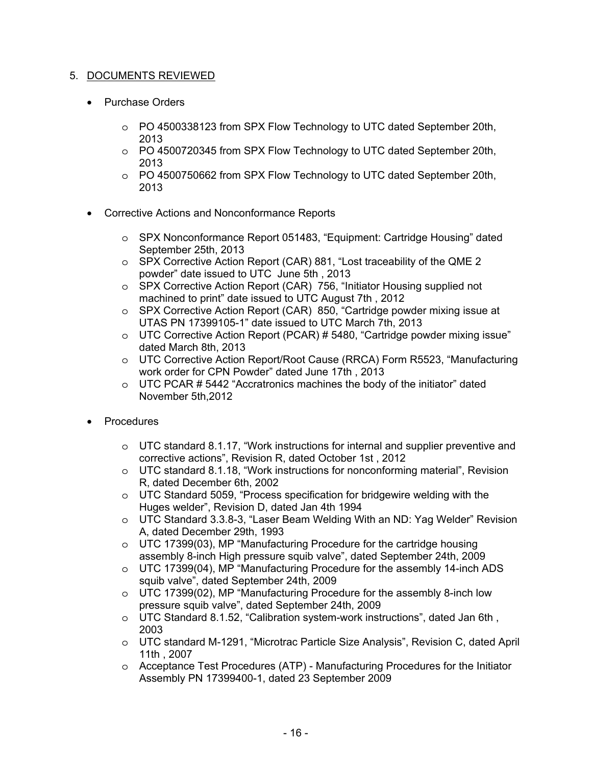# 5. DOCUMENTS REVIEWED

- Purchase Orders
	- o PO 4500338123 from SPX Flow Technology to UTC dated September 20th, 2013
	- o PO 4500720345 from SPX Flow Technology to UTC dated September 20th, 2013
	- o PO 4500750662 from SPX Flow Technology to UTC dated September 20th, 2013
- Corrective Actions and Nonconformance Reports
	- o SPX Nonconformance Report 051483, "Equipment: Cartridge Housing" dated September 25th, 2013
	- o SPX Corrective Action Report (CAR) 881, "Lost traceability of the QME 2 powder" date issued to UTC June 5th , 2013
	- o SPX Corrective Action Report (CAR) 756, "Initiator Housing supplied not machined to print" date issued to UTC August 7th , 2012
	- o SPX Corrective Action Report (CAR) 850, "Cartridge powder mixing issue at UTAS PN 17399105-1" date issued to UTC March 7th, 2013
	- o UTC Corrective Action Report (PCAR) # 5480, "Cartridge powder mixing issue" dated March 8th, 2013
	- o UTC Corrective Action Report/Root Cause (RRCA) Form R5523, "Manufacturing work order for CPN Powder" dated June 17th , 2013
	- $\circ$  UTC PCAR #5442 "Accratronics machines the body of the initiator" dated November 5th,2012
- Procedures
	- $\circ$  UTC standard 8.1.17, "Work instructions for internal and supplier preventive and corrective actions", Revision R, dated October 1st , 2012
	- $\circ$  UTC standard 8.1.18, "Work instructions for nonconforming material", Revision R, dated December 6th, 2002
	- o UTC Standard 5059, "Process specification for bridgewire welding with the Huges welder", Revision D, dated Jan 4th 1994
	- o UTC Standard 3.3.8-3, "Laser Beam Welding With an ND: Yag Welder" Revision A, dated December 29th, 1993
	- o UTC 17399(03), MP "Manufacturing Procedure for the cartridge housing assembly 8-inch High pressure squib valve", dated September 24th, 2009
	- $\circ$  UTC 17399(04), MP "Manufacturing Procedure for the assembly 14-inch ADS squib valve", dated September 24th, 2009
	- o UTC 17399(02), MP "Manufacturing Procedure for the assembly 8-inch low pressure squib valve", dated September 24th, 2009
	- o UTC Standard 8.1.52, "Calibration system-work instructions", dated Jan 6th , 2003
	- o UTC standard M-1291, "Microtrac Particle Size Analysis", Revision C, dated April 11th , 2007
	- $\circ$  Acceptance Test Procedures (ATP) Manufacturing Procedures for the Initiator Assembly PN 17399400-1, dated 23 September 2009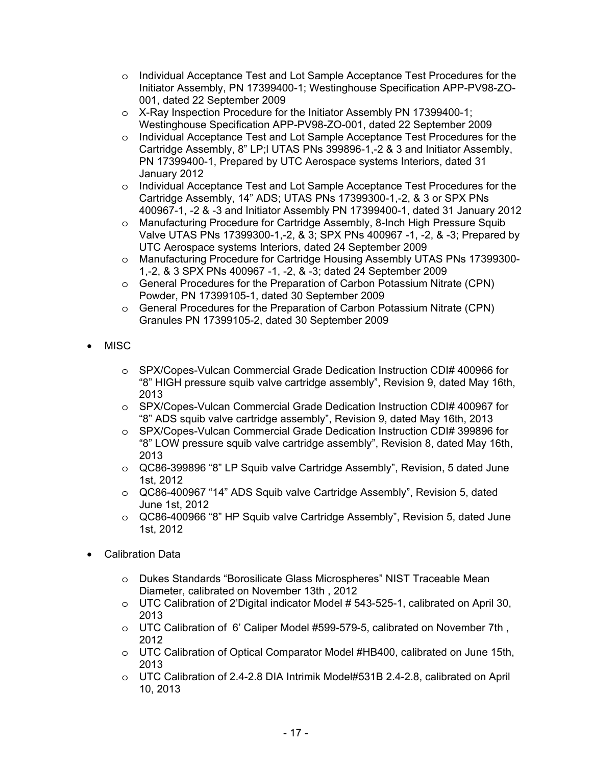- o Individual Acceptance Test and Lot Sample Acceptance Test Procedures for the Initiator Assembly, PN 17399400-1; Westinghouse Specification APP-PV98-ZO-001, dated 22 September 2009
- o X-Ray Inspection Procedure for the Initiator Assembly PN 17399400-1; Westinghouse Specification APP-PV98-ZO-001, dated 22 September 2009
- o Individual Acceptance Test and Lot Sample Acceptance Test Procedures for the Cartridge Assembly, 8" LP;l UTAS PNs 399896-1,-2 & 3 and Initiator Assembly, PN 17399400-1, Prepared by UTC Aerospace systems Interiors, dated 31 January 2012
- o Individual Acceptance Test and Lot Sample Acceptance Test Procedures for the Cartridge Assembly, 14" ADS; UTAS PNs 17399300-1,-2, & 3 or SPX PNs 400967-1, -2 & -3 and Initiator Assembly PN 17399400-1, dated 31 January 2012
- o Manufacturing Procedure for Cartridge Assembly, 8-Inch High Pressure Squib Valve UTAS PNs 17399300-1,-2, & 3; SPX PNs 400967 -1, -2, & -3; Prepared by UTC Aerospace systems Interiors, dated 24 September 2009
- o Manufacturing Procedure for Cartridge Housing Assembly UTAS PNs 17399300- 1,-2, & 3 SPX PNs 400967 -1, -2, & -3; dated 24 September 2009
- o General Procedures for the Preparation of Carbon Potassium Nitrate (CPN) Powder, PN 17399105-1, dated 30 September 2009
- o General Procedures for the Preparation of Carbon Potassium Nitrate (CPN) Granules PN 17399105-2, dated 30 September 2009
- MISC
	- o SPX/Copes-Vulcan Commercial Grade Dedication Instruction CDI# 400966 for "8" HIGH pressure squib valve cartridge assembly", Revision 9, dated May 16th, 2013
	- o SPX/Copes-Vulcan Commercial Grade Dedication Instruction CDI# 400967 for "8" ADS squib valve cartridge assembly", Revision 9, dated May 16th, 2013
	- o SPX/Copes-Vulcan Commercial Grade Dedication Instruction CDI# 399896 for "8" LOW pressure squib valve cartridge assembly", Revision 8, dated May 16th, 2013
	- o QC86-399896 "8" LP Squib valve Cartridge Assembly", Revision, 5 dated June 1st, 2012
	- o QC86-400967 "14" ADS Squib valve Cartridge Assembly", Revision 5, dated June 1st, 2012
	- o QC86-400966 "8" HP Squib valve Cartridge Assembly", Revision 5, dated June 1st, 2012
- Calibration Data
	- o Dukes Standards "Borosilicate Glass Microspheres" NIST Traceable Mean Diameter, calibrated on November 13th , 2012
	- $\circ$  UTC Calibration of 2'Digital indicator Model # 543-525-1, calibrated on April 30, 2013
	- o UTC Calibration of 6' Caliper Model #599-579-5, calibrated on November 7th , 2012
	- o UTC Calibration of Optical Comparator Model #HB400, calibrated on June 15th, 2013
	- o UTC Calibration of 2.4-2.8 DIA Intrimik Model#531B 2.4-2.8, calibrated on April 10, 2013